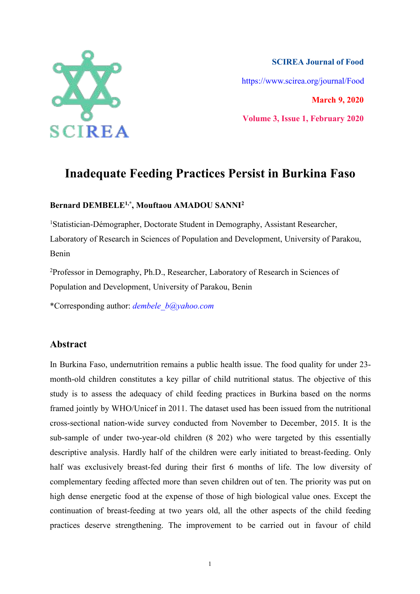

**SCIREA Journal of Food** https://www.scirea.org/journal/Food **March 9, 2020 Volume 3, Issue 1, February 2020**

# **Inadequate Feeding Practices Persist in Burkina Faso**

#### **Bernard DEMBELE1,\* , Mouftaou AMADOU SANNI 2**

<sup>1</sup>Statistician-Démographer, Doctorate Student in Demography, Assistant Researcher, Laboratory of Research in Sciences of Population and Development, University of Parakou, Benin

<sup>2</sup>Professor in Demography, Ph.D., Researcher, Laboratory of Research in Sciences of Population and Development, University of Parakou, Benin

\*Corresponding author: *dembele\_b@yahoo.com*

### **Abstract**

In Burkina Faso, undernutrition remains a public health issue. The food quality for under 23 month-old children constitutes a key pillar of child nutritional status. The objective of this study is to assess the adequacy of child feeding practices in Burkina based on the norms framed jointly by WHO/Unicef in 2011. The dataset used has been issued from the nutritional cross-sectional nation-wide survey conducted from November to December,2015. It is the sub-sample of under two-year-old children (8 202) who were targeted by this essentially descriptive analysis. Hardly half of the children were early initiated to breast-feeding. Only half was exclusively breast-fed during their first 6 months of life. The low diversity of complementary feeding affected more than seven children out of ten. The priority was put on high dense energetic food at the expense of those of high biological value ones. Except the continuation of breast-feeding at two years old, all the other aspects of the child feeding practices deserve strengthening. The improvement to be carried out in favour of child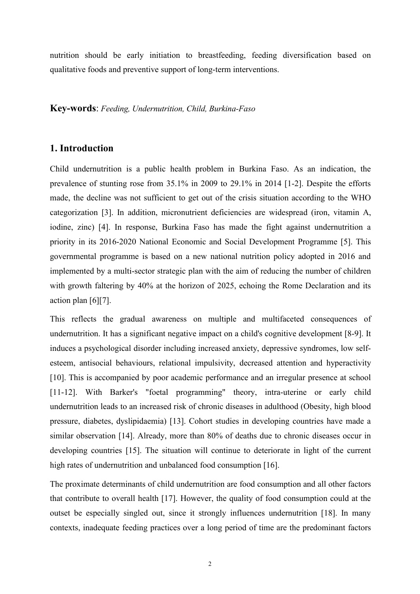nutrition should be early initiation to breastfeeding, feeding diversification based on qualitative foods and preventive support of long-term interventions.

#### **Key-words**: *Feeding, Undernutrition, Child, Burkina-Faso*

## **1. Introduction**

Child undernutrition is a public health problem in Burkina Faso. As an indication, the prevalence of stunting rose from 35.1% in 2009 to 29.1% in 2014 [1-2]. Despite the efforts made, the decline was not sufficient to get out of the crisis situation according to the WHO categorization [3]. In addition, micronutrient deficiencies are widespread (iron, vitamin A, iodine, zinc) [4]. In response, Burkina Faso has made the fight against undernutrition a priority in its 2016-2020 National Economic and Social Development Programme [5]. This governmental programme isbased on a new national nutrition policy adopted in 2016 and implemented by a multi-sector strategic plan with the aim of reducing the number of children with growth faltering by 40% at the horizon of 2025, echoing the Rome Declaration and its action plan [6][7].

This reflects the gradual awareness on multiple and multifaceted consequences of undernutrition. It has a significant negative impact on a child's cognitive development [8-9]. It induces a psychological disorder including increased anxiety, depressive syndromes, low self esteem, antisocial behaviours, relational impulsivity, decreased attention and hyperactivity [10]. This is accompanied by poor academic performance and an irregular presence at school [11-12]. With Barker's "foetal programming" theory, intra-uterine or early child undernutrition leads to an increased risk of chronic diseases in adulthood (Obesity, high blood pressure, diabetes, dyslipidaemia) [13]. Cohort studies in developing countries have made a similar observation [14]. Already, more than 80% of deaths due to chronic diseases occur in developing countries [15]. The situation will continue to deteriorate in light of the current high rates of undernutrition and unbalanced food consumption [16].

The proximate determinants of child undernutrition are food consumption and all other factors that contribute to overall health [17]. However, the quality of food consumption could at the outset be especially singled out, since it strongly influences undernutrition [18]. In many contexts, inadequate feeding practices over a long period of time are the predominant factors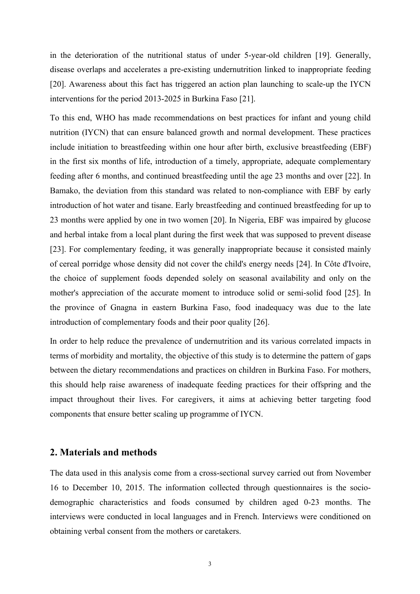in the deterioration of the nutritional status of under 5-year-old children [19]. Generally, disease overlaps and accelerates a pre-existing undernutrition linked to inappropriate feeding [20]. Awareness about this fact has triggered an action plan launching to scale-up the IYCN interventions for the period 2013-2025 in Burkina Faso [21].

To this end, WHO has made recommendations on best practices for infant and young child nutrition (IYCN) that can ensure balanced growth and normal development. These practices include initiation to breastfeeding within one hour after birth, exclusive breastfeeding (EBF) in the first six months of life, introduction of a timely, appropriate, adequate complementary feeding after 6 months, and continued breastfeeding until the age 23 months and over [22]. In Bamako, the deviation from this standard was related to non-compliance with EBF by early introduction of hot water and tisane. Early breastfeeding and continued breastfeeding for up to 23 months were applied by one in two women [20]. In Nigeria, EBF was impaired by glucose and herbal intake from a local plant during the first week that was supposed to prevent disease [23]. For complementary feeding, it was generally inappropriate because it consisted mainly of cereal porridge whose density did not cover the child's energy needs [24].In Côte d'Ivoire, the choice of supplement foods depended solely on seasonal availability and only on the mother's appreciation of the accurate moment to introduce solid or semi-solid food [25]. In the province of Gnagna in eastern Burkina Faso, food inadequacy was due to the late introduction of complementary foods and their poor quality [26].

In order to help reduce the prevalence of undernutrition and its various correlated impacts in terms of morbidity and mortality, the objective of this study is to determine the pattern of gaps between the dietary recommendations and practices on children in Burkina Faso. For mothers, this should help raise awareness of inadequate feeding practices for their offspring and the impact throughout their lives. For caregivers, it aims at achieving better targeting food components that ensure better scaling up programme of IYCN.

# **2. Materials and methods**

The data used in this analysis come from a cross-sectional survey carried out from November 16 to December 10, 2015. The information collected through questionnaires is the socio demographic characteristics and foods consumed by children aged 0-23 months. The interviews were conducted in local languages and in French. Interviews were conditioned on obtaining verbal consent from the mothers or caretakers.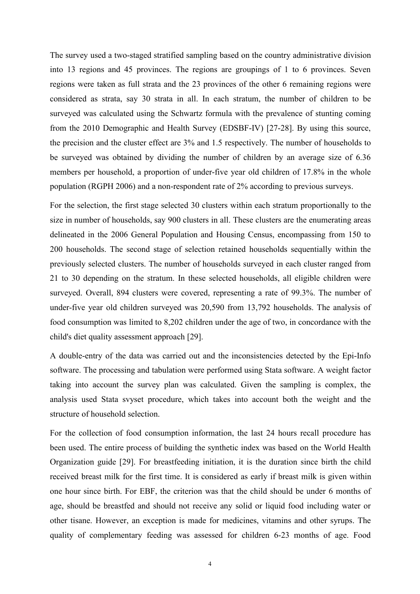The survey used a two-staged stratified sampling based on the country administrative division into 13 regions and 45 provinces. The regions are groupings of 1 to 6 provinces. Seven regions were taken as full strata and the 23 provinces of the other 6 remaining regions were considered as strata, say 30 strata in all. In each stratum, the number of children to be surveyed was calculated using the Schwartz formula with the prevalence of stunting coming from the 2010 Demographic and Health Survey (EDSBF-IV) [27-28]. By using this source, the precision and the cluster effect are 3% and 1.5 respectively. The number of households to be surveyed was obtained by dividing the number of children by an average size of 6.36 members per household, a proportion of under-five year old children of 17.8% in the whole population (RGPH 2006) anda non-respondent rate of 2% according to previous surveys.

For the selection, the first stage selected 30 clusters within each stratum proportionally to the size in number of households, say 900 clusters in all. These clusters are the enumerating areas delineated in the 2006 General Population and Housing Census, encompassing from 150 to 200 households. The second stage of selection retained households sequentially within the previously selected clusters. The number of households surveyed in each cluster ranged from 21 to 30 depending on the stratum.In these selected households, all eligible children were surveyed. Overall, 894 clusters were covered, representing a rate of 99.3%. The number of under-five year old children surveyed was 20,590 from 13,792 households. The analysis of food consumption was limited to 8,202 children under the age of two, in concordance with the child's diet quality assessment approach [29].

A double-entry of the data was carried out and the inconsistencies detected by the Epi-Info software. The processing and tabulation were performed using Stata software. A weight factor taking into account the survey plan was calculated. Given the sampling is complex, the analysis used Stata svyset procedure, which takes into account both the weight and the structure of household selection.

For the collection of food consumption information, the last 24 hours recall procedure has been used. The entire process of building the synthetic index was based on the World Health Organization guide [29]. For breastfeeding initiation, it is the duration since birth the child received breast milk for the first time. It is considered as early if breast milk is given within one hour since birth. For EBF, the criterion was that the child should be under 6 months of age, should be breastfed and should not receive any solid or liquid food including water or other tisane. However, an exception is made for medicines, vitamins and other syrups. The quality of complementary feeding was assessed for children 6-23 months of age. Food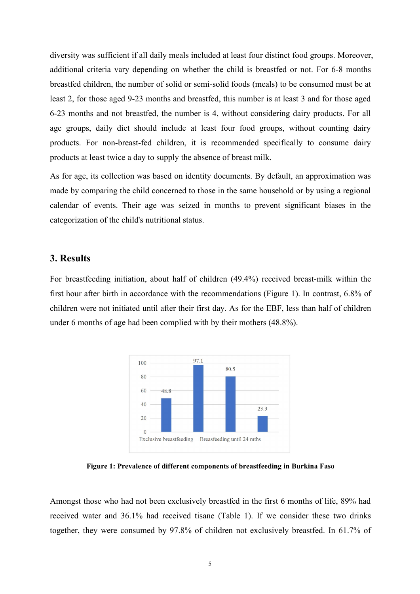diversity was sufficient if all daily meals included at least four distinct food groups. Moreover, additional criteria vary depending on whether the child is breastfed or not. For 6-8 months breastfed children, the number of solid or semi-solid foods (meals) to be consumed must be at least 2, for those aged 9-23 months and breastfed, this number is at least 3 and for those aged 6-23 months and not breastfed, the number is 4, without considering dairy products. For all age groups, daily diet should include at least four food groups, without counting dairy products. For non-breast-fed children, it is recommended specifically to consume dairy products at least twice a day to supply the absence of breast milk.

As for age, its collection was based on identity documents. By default, an approximation was made by comparing the child concerned to those in the same household or by using a regional calendar of events. Their age was seized in months to prevent significant biases in the categorization of the child's nutritional status.

#### **3. Results**

For breastfeeding initiation, about half of children (49.4%) received breast-milk within the first hour after birth in accordance with the recommendations (Figure 1). In contrast, 6.8% of children were not initiated until after their first day. As for the EBF, less than half of children under 6 months of age had been complied with by their mothers  $(48.8\%)$ .



**Figure 1: Prevalence of different components ofbreastfeeding in Burkina Faso**

Amongst those who had not been exclusively breastfed in the first 6 months of life, 89% had received water and 36.1% had received tisane (Table 1). If we consider these two drinks together, they were consumed by 97.8% of children not exclusively breastfed. In 61.7% of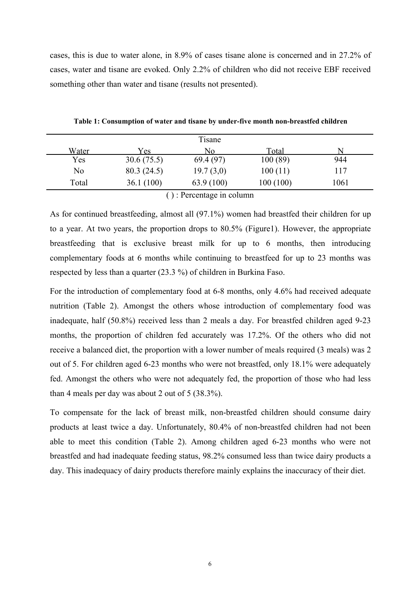cases, this is due to water alone, in 8.9% of cases tisane alone is concerned and in 27.2% of cases, water and tisane are evoked. Only 2.2% of children who did not receive EBF received something other than water and tisane (results not presented).

|              |            | Tisane    |           |      |
|--------------|------------|-----------|-----------|------|
| <u>Water</u> | Y es       | No        | Total     |      |
| Yes          | 30.6(75.5) | 69.4 (97) | 100(89)   | 944  |
| No           | 80.3(24.5) | 19.7(3,0) | 100(11)   | 17ء  |
| Total        | 36.1(100)  | 63.9(100) | 100 (100) | 1061 |

**Table 1: Consumption of water and tisane by under-five month non-breastfed children**

() : Percentage in column

As for continued breastfeeding, almost all (97.1%) women had breastfed their children for up to a year. At two years, the proportion drops to 80.5% (Figure1). However, the appropriate breastfeeding that is exclusive breast milk for up to 6 months, then introducing complementary foods at 6 months while continuing to breastfeed for up to 23 months was respected by less than a quarter (23.3 %) of children in Burkina Faso.

For the introduction of complementary food at 6-8 months, only 4.6% had received adequate nutrition (Table 2). Amongst the others whose introduction of complementary food was inadequate, half (50.8%) received less than 2 meals a day. For breastfed children aged 9-23 months, the proportion of children fed accurately was 17.2%. Of the others who did not receive a balanced diet, the proportion with a lower number of meals required (3 meals) was 2 out of 5. For children aged 6-23 months who were not breastfed, only 18.1% were adequately fed. Amongst the others who were not adequately fed, the proportion of those who had less than 4 meals per day was about 2 out of 5 (38.3%).

To compensate for the lack of breast milk, non-breastfed children should consume dairy products at least twice a day. Unfortunately, 80.4% of non-breastfed children had not been able to meet this condition (Table 2). Among children aged 6-23 months who were not breastfed and had inadequate feeding status, 98.2% consumed less than twice dairy products a day. This inadequacy of dairy products therefore mainly explains the inaccuracy of their diet.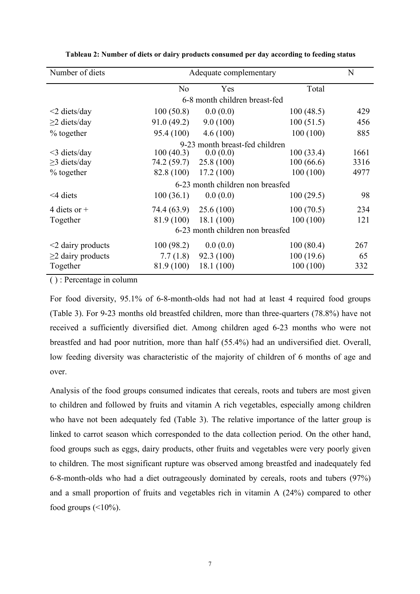| Number of diets         | Adequate complementary |                                  |           |      |  |
|-------------------------|------------------------|----------------------------------|-----------|------|--|
|                         | No                     | Yes                              | Total     |      |  |
|                         |                        | 6-8 month children breast-fed    |           |      |  |
| $<$ 2 diets/day         | 100(50.8)              | 0.0(0.0)                         | 100(48.5) | 429  |  |
| $\geq$ 2 diets/day      | 91.0(49.2)             | 9.0(100)                         | 100(51.5) | 456  |  |
| $%$ together            | 95.4 (100)             | 4.6(100)                         | 100(100)  | 885  |  |
|                         |                        | 9-23 month breast-fed children   |           |      |  |
| $<$ 3 diets/day         | 100(40.3)              | 0.0(0.0)                         | 100(33.4) | 1661 |  |
| $\geq$ 3 diets/day      | 74.2 (59.7)            | 25.8(100)                        | 100(66.6) | 3316 |  |
| $%$ together            | 82.8 (100)             | 17.2(100)                        | 100(100)  | 4977 |  |
|                         |                        | 6-23 month children non breasfed |           |      |  |
| $\leq$ 4 diets          | 100(36.1)              | 0.0(0.0)                         | 100(29.5) | 98   |  |
| 4 diets or $+$          | 74.4 (63.9)            | 25.6(100)                        | 100(70.5) | 234  |  |
| Together                | 81.9 (100)             | 18.1(100)                        | 100(100)  | 121  |  |
|                         |                        | 6-23 month children non breasfed |           |      |  |
| $\leq$ dairy products   | 100(98.2)              | 0.0(0.0)                         | 100(80.4) | 267  |  |
| $\geq$ 2 dairy products | 7.7(1.8)               | 92.3(100)                        | 100(19.6) | 65   |  |
| Together                | 81.9 (100)             | 18.1(100)                        | 100(100)  | 332  |  |

**Tableau 2: Number of diets or dairy products consumed per day according to feeding status**

( ) : Percentage in column

For food diversity, 95.1% of 6-8-month-olds had not had at least 4 required food groups (Table 3). For 9-23 months old breastfed children, more than three-quarters (78.8%) have not received a sufficiently diversified diet. Among children aged 6-23 months who were not breastfed and had poor nutrition, more than half (55.4%) had an undiversified diet. Overall, low feeding diversity was characteristic of the majority of children of 6 months of age and over.

Analysis of the food groups consumed indicates that cereals, roots and tubers are most given to children and followed by fruits and vitamin A rich vegetables, especially among children who have not been adequately fed (Table 3). The relative importance of the latter group is linked to carrot season which corresponded to the data collection period. On the other hand, food groups such as eggs, dairy products, other fruits and vegetables were very poorly given to children. The most significant rupture was observed among breastfed and inadequately fed 6-8-month-olds who had a diet outrageously dominated by cereals, roots and tubers (97%) and a small proportion of fruits and vegetables rich in vitamin A (24%) compared to other food groups  $(\leq 10\%)$ .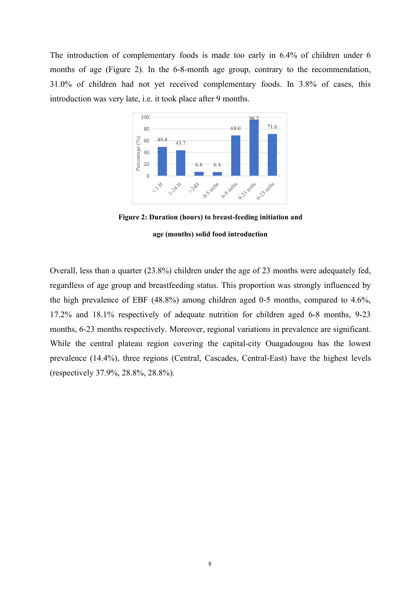The introduction of complementary foods is made too early in 6.4% of children under 6 months of age (Figure 2). In the 6-8-month age group, contrary to the recommendation, 31.0% of children had not yet received complementary foods. In 3.8% of cases, this introduction was very late, i.e. it took place after 9 months.



**Figure 2: Duration (hours) to breast-feeding initiation and age (months) solid food introduction**

Overall, less than a quarter (23.8%) children under the age of 23 months were adequately fed, regardless of age group and breastfeeding status. This proportion was strongly influenced by the high prevalence of EBF (48.8%) among children aged 0-5 months, compared to 4.6%, 17.2% and 18.1% respectively of adequate nutrition for children aged 6-8 months, 9-23 months, 6-23 months respectively. Moreover, regional variations in prevalence are significant. While the central plateau region covering the capital-city Ouagadougou has the lowest prevalence (14.4%), three regions (Central, Cascades, Central-East) have the highest levels (respectively 37.9%, 28.8%, 28.8%).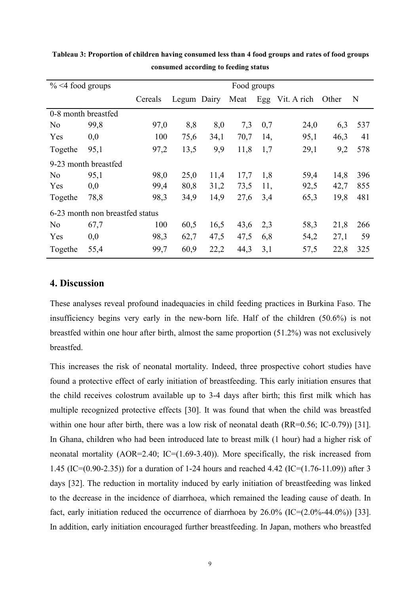| $\%$ <4 food groups |                                 | Food groups |             |      |      |     |                 |       |             |
|---------------------|---------------------------------|-------------|-------------|------|------|-----|-----------------|-------|-------------|
|                     |                                 | Cereals     | Legum Dairy |      | Meat |     | Egg Vit. A rich | Other | $\mathbf N$ |
|                     | 0-8 month breastfed             |             |             |      |      |     |                 |       |             |
| N <sub>o</sub>      | 99,8                            | 97,0        | 8,8         | 8,0  | 7,3  | 0,7 | 24,0            | 6,3   | 537         |
| Yes                 | 0,0                             | 100         | 75,6        | 34,1 | 70,7 | 14, | 95,1            | 46,3  | 41          |
| Togethe             | 95,1                            | 97,2        | 13,5        | 9,9  | 11,8 | 1,7 | 29,1            | 9,2   | 578         |
|                     | 9-23 month breastfed            |             |             |      |      |     |                 |       |             |
| N <sub>o</sub>      | 95,1                            | 98,0        | 25,0        | 11,4 | 17,7 | 1,8 | 59,4            | 14,8  | 396         |
| Yes                 | 0,0                             | 99,4        | 80,8        | 31,2 | 73,5 | 11, | 92,5            | 42,7  | 855         |
| Togethe             | 78,8                            | 98,3        | 34,9        | 14,9 | 27,6 | 3,4 | 65,3            | 19,8  | 481         |
|                     | 6-23 month non breastfed status |             |             |      |      |     |                 |       |             |
| N <sub>o</sub>      | 67,7                            | 100         | 60,5        | 16,5 | 43,6 | 2,3 | 58,3            | 21,8  | 266         |
| Yes                 | 0,0                             | 98,3        | 62,7        | 47,5 | 47,5 | 6,8 | 54,2            | 27,1  | 59          |
| Togethe             | 55,4                            | 99,7        | 60,9        | 22,2 | 44,3 | 3,1 | 57,5            | 22,8  | 325         |

**Tableau 3: Proportion of children having consumed less than 4 food groups and rates offood groups consumed according to feeding status**

# **4. Discussion**

These analyses reveal profound inadequacies in child feeding practices in Burkina Faso. The insufficiency begins very early in the new-born life. Half of the children (50.6%) is not breastfed within one hour after birth, almost the same proportion (51.2%) was not exclusively breastfed.

This increases the risk of neonatal mortality. Indeed, three prospective cohort studies have found a protective effect of early initiation of breastfeeding. This early initiation ensures that the child receives colostrum available up to 3-4 days after birth; this first milk which has multiple recognized protective effects [30]. It was found that when the child was breastfed within one hour after birth, there was a low risk of neonatal death (RR=0.56; IC-0.79)) [31]. In Ghana, children who had been introduced late to breast milk (1 hour) had a higher risk of neonatal mortality (AOR=2.40; IC=(1.69-3.40)). More specifically, the risk increased from 1.45 (IC=(0.90-2.35)) for a duration of 1-24 hours and reached 4.42 (IC=(1.76-11.09)) after 3 days [32]. The reduction in mortality induced by early initiation of breastfeeding was linked to the decrease in the incidence of diarrhoea, which remained the leading cause of death. In fact, early initiation reduced the occurrence of diarrhoea by  $26.0\%$  (IC= $(2.0\% - 44.0\%)$ ) [33]. In addition, early initiation encouraged further breastfeeding. In Japan, mothers who breastfed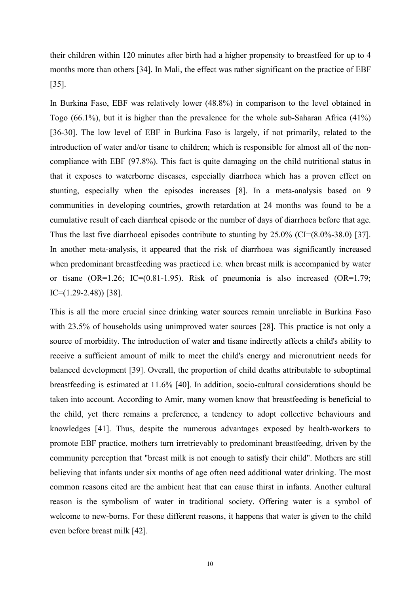their children within 120 minutes after birth had a higher propensity to breastfeed for up to 4 months more than others [34]. In Mali, the effect was rather significant on the practice of EBF [35].

In Burkina Faso, EBF was relatively lower (48.8%) in comparison to the level obtained in Togo (66.1%), but it is higher than the prevalence for the whole sub-Saharan Africa (41%) [36-30]. The low level of EBF in Burkina Faso is largely, if not primarily, related to the introduction of water and/or tisane to children; which is responsible for almost all of the non-compliance with EBF (97.8%). This fact is quite damaging on the child nutritional status in that it exposes to waterborne diseases, especially diarrhoea which has a proven effect on stunting, especially when the episodes increases [8]. In a meta-analysis based on 9 communities in developing countries, growth retardation at 24 months was found to be a cumulative result of each diarrheal episode or the number of days of diarrhoea before that age.Thus the last five diarrhoeal episodes contribute to stunting by 25.0% (CI=(8.0%-38.0) [37]. In another meta-analysis, it appeared that the risk of diarrhoea was significantly increased when predominant breastfeeding was practiced i.e. when breast milk is accompanied by water or tisane  $(OR=1.26; IC=(0.81-1.95)$ . Risk of pneumonia is also increased  $(OR=1.79;$ IC=(1.29-2.48)) [38].

This is all the more crucial since drinking water sources remain unreliable in Burkina Faso with 23.5% of households using unimproved water sources [28]. This practice is not only a source of morbidity. The introduction of water and tisane indirectly affects a child's ability to receive a sufficient amount of milk to meet the child's energy and micronutrient needs for balanced development [39]. Overall, the proportion of child deaths attributable to suboptimal breastfeeding is estimated at 11.6% [40]. In addition, socio-cultural considerations should be taken into account. According to Amir, many women know that breastfeeding is beneficial to the child, yet there remains a preference, a tendency to adopt collective behaviours and knowledges [41]. Thus, despite the numerous advantages exposed by health-workers to promote EBF practice, mothers turn irretrievably to predominant breastfeeding, driven by the community perception that "breast milk is not enough to satisfy their child". Mothers are still believing that infants under six months of age often need additional water drinking. The most common reasons cited are the ambient heat that can cause thirst in infants. Another cultural reason is the symbolism of water in traditional society. Offering water is a symbol of welcome to new-borns. For these different reasons, it happens that water is given to the child even before breast milk [42].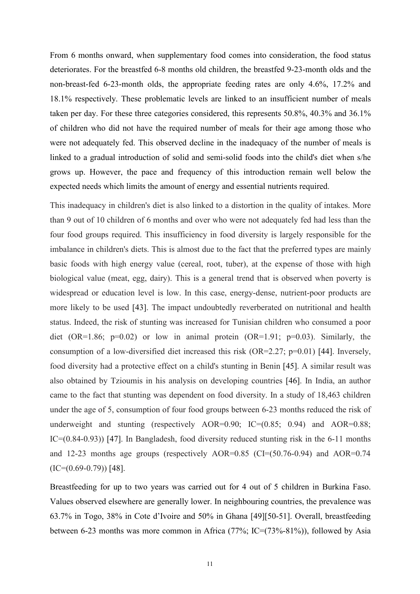From 6 months onward, when supplementary food comes into consideration, the food status deteriorates. For the breastfed 6-8 months old children, the breastfed 9-23-month olds and the non-breast-fed 6-23-month olds, the appropriate feeding rates are only 4.6%, 17.2% and 18.1% respectively. These problematic levels are linked to an insufficient number of meals taken per day. For these three categories considered, this represents 50.8%, 40.3% and 36.1% of children who did not have the required number of meals for their age among those who were not adequately fed. This observed decline in the inadequacy of the number of meals is linked to a gradual introduction of solid and semi-solid foods into the child's diet when s/he grows up. However, the pace and frequency of this introduction remain well below the expected needs which limits the amount of energy and essential nutrients required.

This inadequacy in children's diet is also linked to a distortion in the quality of intakes. More than 9 out of 10 children of 6 months and over who were not adequately fed had less than the four food groups required. This insufficiency in food diversity is largely responsible for the imbalance in children's diets. This is almost due to the fact that the preferred types are mainly basic foods with high energy value (cereal, root, tuber), at the expense of those with high biological value (meat, egg, dairy). This is a general trend that is observed when poverty is widespread or education level is low. In this case, energy-dense, nutrient-poor products are more likely to be used [43]. The impact undoubtedly reverberated on nutritional and health status. Indeed, the risk of stunting was increased for Tunisian children who consumed a poor diet (OR=1.86;  $p=0.02$ ) or low in animal protein (OR=1.91;  $p=0.03$ ). Similarly, the consumption of a low-diversified diet increased this risk (OR=2.27; p=0.01) [44]. Inversely, food diversity had a protective effect on a child's stunting in Benin [45]. A similar result was also obtained by Tzioumis in his analysis on developing countries [46]. In India, an author came to the fact that stunting was dependent on food diversity. In a study of 18,463 children under the age of 5, consumption of four food groups between 6-23 months reduced the risk of underweight and stunting (respectively AOR=0.90; IC=(0.85; 0.94) and AOR=0.88; IC=(0.84-0.93)) [47]. In Bangladesh, food diversity reduced stunting risk in the 6-11 months and 12-23 months age groups (respectively AOR= $0.85$  (CI=(50.76-0.94) and AOR= $0.74$  $(IC=(0.69-0.79))$  [48].

Breastfeeding for up to two years was carried out for 4 out of 5 children in Burkina Faso. Values observed elsewhere are generally lower. In neighbouring countries, the prevalence was 63.7% in Togo, 38% in Cote d'Ivoire and 50% in Ghana [49][50-51]. Overall, breastfeeding between 6-23 months was more common in Africa (77%; IC=(73%-81%)), followed by Asia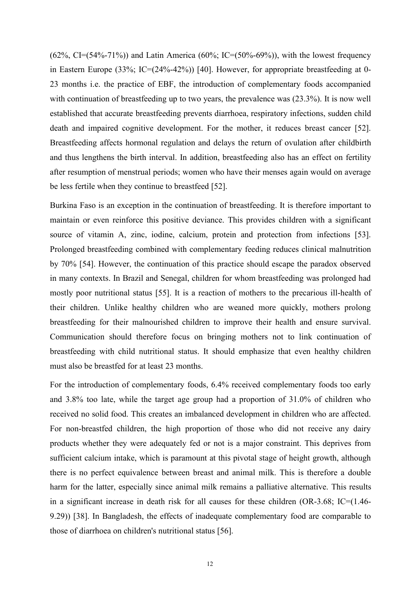$(62\%, CI = (54\% - 71\%)$  and Latin America  $(60\%; IC = (50\% - 69\%))$ , with the lowest frequency in Eastern Europe (33%; IC=(24%-42%)) [40]. However, for appropriate breastfeeding at 0- 23 months i.e. the practice of EBF, the introduction of complementary foods accompanied with continuation of breastfeeding up to two years, the prevalence was (23.3%). It is now well established that accurate breastfeeding prevents diarrhoea, respiratory infections, sudden child death and impaired cognitive development. For the mother, it reduces breast cancer [52]. Breastfeeding affects hormonal regulation and delays the return of ovulation after childbirth and thus lengthens the birth interval. In addition, breastfeeding also has an effect on fertility after resumption of menstrual periods; women who have their menses again would on average be less fertile when they continue to breastfeed [52].

Burkina Faso is an exception in the continuation of breastfeeding. It is therefore important to maintain or even reinforce this positive deviance. This provides children with a significant source of vitamin A, zinc, iodine, calcium, protein and protection from infections [53]. Prolonged breastfeeding combined with complementary feeding reduces clinical malnutrition by 70% [54]. However, the continuation of this practice should escape the paradox observed in many contexts. In Brazil and Senegal, children for whom breastfeeding was prolonged had mostly poor nutritional status [55]. It is a reaction of mothers to the precarious ill-health of their children. Unlike healthy children who are weaned more quickly, mothers prolong breastfeeding for their malnourished children to improve their health and ensure survival. Communication should therefore focus on bringing mothers not to link continuation of breastfeeding with child nutritional status. It should emphasize that even healthy children must also be breastfed for at least 23 months.

For the introduction of complementary foods, 6.4% received complementary foods too early and 3.8% too late, while the target age group had a proportion of 31.0% of children who received no solid food. This creates an imbalanced development in children who are affected. For non-breastfed children, the high proportion of those who did not receive any dairy products whether they were adequately fed or not is a major constraint. This deprives from sufficient calcium intake, which is paramount at this pivotal stage of height growth, although there is no perfect equivalence between breast and animal milk. This is therefore a double harm for the latter, especially since animal milk remains a palliative alternative. This results in a significant increase in death risk for all causes for these children (OR-3.68; IC=(1.46- 9.29)) [38]. In Bangladesh, the effects of inadequate complementary food are comparable to those of diarrhoea on children's nutritional status [56].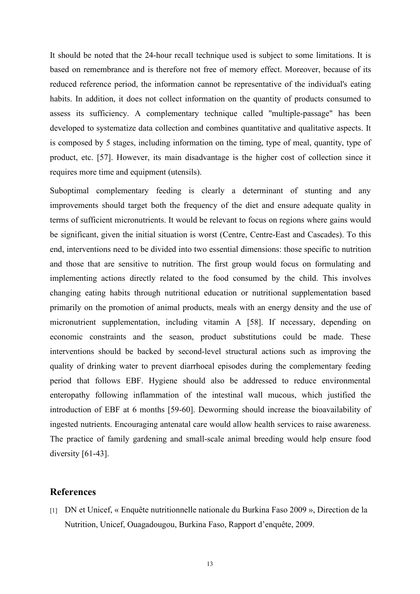It should be noted that the 24-hour recall technique used is subject to some limitations. It is based on remembrance and is therefore not free of memory effect. Moreover, because of its reduced reference period, the information cannot be representative of the individual's eating habits. In addition, it does not collect information on the quantity of products consumed to assess its sufficiency. A complementary technique called "multiple-passage" has been developed to systematize data collection and combines quantitative and qualitative aspects. It is composed by 5 stages, including information on the timing, type of meal, quantity, type of product, etc. [57]. However, its main disadvantage is the higher cost of collection since it requires more time and equipment (utensils).

Suboptimal complementary feeding is clearly a determinant of stunting and any improvements should target both the frequency of the diet and ensure adequate quality in terms of sufficient micronutrients. It would be relevant to focus on regions where gains would be significant, given the initial situation is worst (Centre, Centre-East and Cascades). To this end, interventions need to be divided into two essential dimensions: those specific to nutrition and those that are sensitive to nutrition. The first group would focus on formulating and implementing actions directly related to the food consumed by the child. This involves changing eating habits through nutritional education or nutritional supplementation based primarily on the promotion of animal products, meals with an energy density and the use of micronutrient supplementation, including vitamin A [58]. If necessary, depending on economic constraints and the season, product substitutions could be made. These interventions should be backed by second-level structural actions such as improving the quality of drinking water to prevent diarrhoeal episodes during the complementary feeding period that follows EBF. Hygiene should also be addressed to reduce environmental enteropathy following inflammation of the intestinal wall mucous, which justified the introduction of EBF at 6 months [59-60]. Deworming should increase the bioavailability of ingested nutrients. Encouraging antenatal care would allow health services to raise awareness. The practice of family gardening and small-scale animal breeding would help ensure food diversity [61-43].

#### **References**

[1] DN et Unicef, « Enquête nutritionnelle nationale du Burkina Faso 2009 », Direction de la Nutrition, Unicef, Ouagadougou, Burkina Faso, Rapport d'enquête, 2009.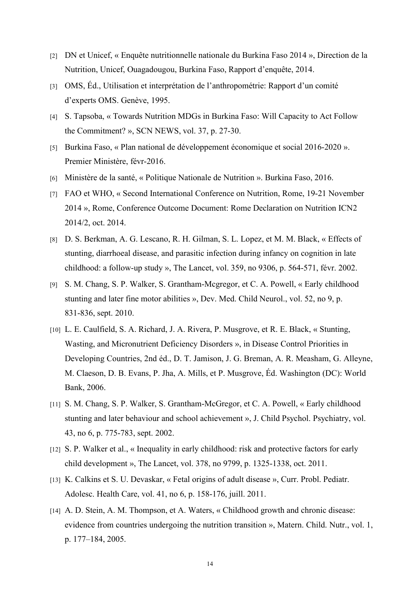- [2] DN et Unicef, « Enquête nutritionnelle nationale du Burkina Faso 2014 », Direction de la Nutrition, Unicef, Ouagadougou, Burkina Faso, Rapport d'enquête, 2014.
- [3] OMS, Éd., Utilisation et interprétation de l'anthropométrie: Rapport d'un comité d'experts OMS. Genève, 1995.
- [4] S. Tapsoba, « Towards Nutrition MDGs in Burkina Faso: Will Capacity to Act Follow the Commitment? », SCN NEWS, vol. 37, p. 27‑30.
- [5] Burkina Faso, « Plan national de développement économique et social 2016-2020 ». Premier Ministère, févr-2016.
- [6] Ministère de la santé, « Politique Nationale de Nutrition ». Burkina Faso, 2016.
- [7] FAO et WHO, « Second International Conference on Nutrition, Rome, 19-21 November 2014 », Rome, Conference Outcome Document: Rome Declaration on Nutrition ICN2 2014/2, oct. 2014.
- [8] D. S. Berkman, A. G. Lescano, R. H. Gilman, S. L. Lopez, et M. M. Black, « Effects of stunting, diarrhoeal disease, and parasitic infection during infancy on cognition in late childhood: a follow-up study », The Lancet, vol. 359, no 9306, p. 564‑571, févr. 2002.
- [9] S. M. Chang, S. P. Walker, S. Grantham-Mcgregor, et C. A. Powell, « Early childhood stunting and later fine motor abilities », Dev. Med. Child Neurol., vol. 52, no 9, p. 831‑836, sept. 2010.
- [10] L. E. Caulfield, S. A. Richard, J. A. Rivera, P. Musgrove, et R. E. Black, « Stunting, Wasting, and Micronutrient Deficiency Disorders », in Disease Control Priorities in Developing Countries, 2nd éd., D. T. Jamison, J. G. Breman, A. R. Measham, G. Alleyne, M. Claeson, D. B. Evans, P. Jha, A. Mills, et P. Musgrove, Éd. Washington (DC): World Bank, 2006.
- [11] S. M. Chang, S. P. Walker, S. Grantham-McGregor, et C. A. Powell, « Early childhood stunting and later behaviour and school achievement », J. Child Psychol. Psychiatry, vol. 43, no 6, p. 775‑783, sept. 2002.
- [12] S. P. Walker et al., « Inequality in early childhood: risk and protective factors for early child development », The Lancet, vol. 378, no 9799, p. 1325‑1338, oct. 2011.
- [13] K. Calkins et S. U. Devaskar, « Fetal origins of adult disease », Curr. Probl. Pediatr. Adolesc. Health Care, vol. 41, no 6, p. 158‑176, juill. 2011.
- [14] A. D. Stein, A. M. Thompson, et A. Waters, « Childhood growth and chronic disease: evidence from countries undergoing the nutrition transition », Matern. Child. Nutr., vol. 1, p. 177–184, 2005.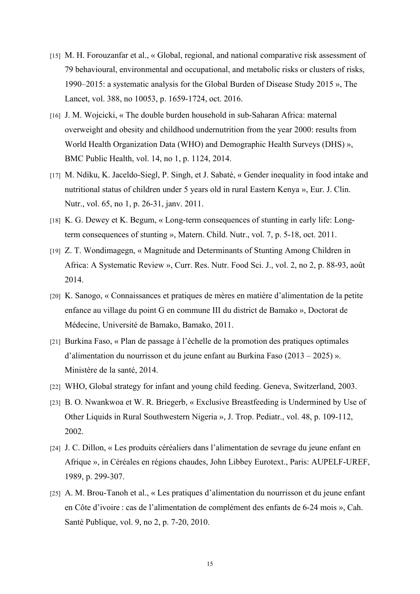- [15] M. H. Forouzanfar et al., « Global, regional, and national comparative risk assessment of 79 behavioural, environmental and occupational, and metabolic risks or clusters ofrisks, 1990–2015: a systematic analysis for the Global Burden of Disease Study 2015 », The Lancet, vol. 388, no 10053, p. 1659-1724, oct. 2016.
- [16] J. M. Wojcicki, « The double burden household in sub-Saharan Africa: maternal overweight and obesity and childhood undernutrition from the year 2000: results from World Health Organization Data (WHO) and Demographic Health Surveys (DHS) », BMC Public Health, vol. 14, no 1, p. 1124, 2014.
- [17] M. Ndiku, K. Jaceldo-Siegl, P. Singh, et J. Sabaté, « Gender inequality in food intake and nutritional status of children under 5 years old in rural Eastern Kenya », Eur. J. Clin. Nutr., vol. 65, no 1, p. 26‑31, janv. 2011.
- $[18]$  K. G. Dewey et K. Begum, « Long-term consequences of stunting in early life: Longterm consequences of stunting », Matern. Child. Nutr., vol. 7, p. 5‑18, oct. 2011.
- [19] Z. T. Wondimagegn, « Magnitude and Determinants of Stunting Among Children in Africa: A Systematic Review », Curr. Res. Nutr. Food Sci. J., vol. 2, no 2, p. 88-93, août 2014.
- [20] K. Sanogo, « Connaissances et pratiques de mères en matière d'alimentation de la petite enfance au village du point G en commune III du district de Bamako », Doctorat de Médecine, Université de Bamako, Bamako, 2011.
- [21] Burkina Faso, « Plan de passage à l'échelle de la promotion des pratiques optimales d'alimentation du nourrisson et du jeune enfant au Burkina Faso (2013 – 2025) ». Ministère de la santé, 2014.
- [22] WHO, Global strategy for infant and young child feeding. Geneva, Switzerland, 2003.
- [23] B. O. Nwankwoa et W. R. Briegerb, « Exclusive Breastfeeding is Undermined by Use of Other Liquids in Rural Southwestern Nigeria », J. Trop. Pediatr., vol. 48, p. 109-112, 2002.
- [24] J. C. Dillon, « Les produits céréaliers dans l'alimentation de sevrage du jeune enfant en Afrique », in Céréales en régions chaudes, John Libbey Eurotext., Paris: AUPELF-UREF, 1989, p. 299‑307.
- [25] A. M. Brou-Tanoh et al., « Les pratiques d'alimentation du nourrisson et du jeune enfant en Côte d'ivoire : cas de l'alimentation de complément des enfants de 6-24 mois », Cah. Santé Publique, vol. 9, no 2, p. 7‑20, 2010.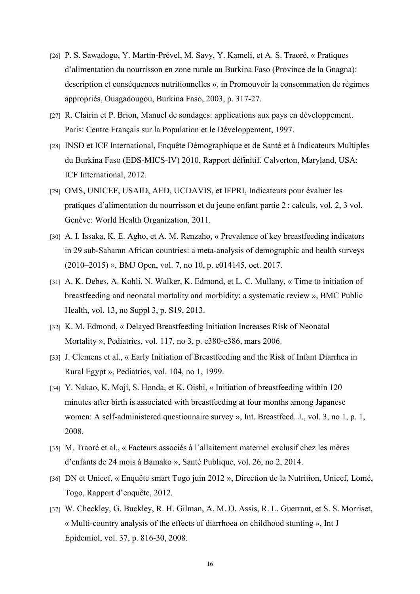- [26] P. S. Sawadogo, Y. Martin-Prével, M. Savy, Y. Kameli, et A. S. Traoré, « Pratiques d'alimentation du nourrisson en zone rurale au Burkina Faso (Province de la Gnagna): description et conséquences nutritionnelles », in Promouvoir la consommation de régimes appropriés, Ouagadougou, Burkina Faso, 2003, p. 317‑27.
- [27] R. Clairin et P. Brion, Manuel de sondages: applications aux paysen développement. Paris: Centre Français sur la Population et le Développement, 1997.
- [28] INSD et ICF International, Enquête Démographique et de Santé et à Indicateurs Multiples du Burkina Faso (EDS-MICS-IV) 2010, Rapport définitif. Calverton, Maryland, USA: ICF International, 2012.
- [29] OMS, UNICEF, USAID, AED, UCDAVIS, et IFPRI, Indicateurs pour évaluer les pratiques d'alimentation du nourrisson et du jeune enfant partie 2 : calculs, vol. 2, 3 vol. Genève: World Health Organization, 2011.
- [30] A. I. Issaka, K. E. Agho, et A. M. Renzaho, « Prevalence of key breastfeeding indicators in 29 sub-Saharan African countries: a meta-analysis of demographic and health surveys (2010–2015) », BMJ Open, vol. 7, no 10, p. e014145, oct. 2017.
- [31] A. K. Debes, A. Kohli, N. Walker, K. Edmond, et L. C. Mullany, « Time to initiation of breastfeeding and neonatal mortality and morbidity: a systematic review », BMC Public Health, vol. 13, no Suppl 3, p. S19, 2013.
- [32] K. M. Edmond, « Delayed Breastfeeding Initiation Increases Risk of Neonatal Mortality », Pediatrics, vol. 117, no 3, p. e380‑e386, mars 2006.
- [33] J. Clemens et al., « Early Initiation of Breastfeeding and the Risk of Infant Diarrhea in Rural Egypt », Pediatrics, vol. 104, no 1, 1999.
- [34] Y. Nakao, K. Moji, S. Honda, et K. Oishi, « Initiation of breastfeeding within 120 minutes after birth is associated with breastfeeding at four months among Japanese women: A self-administered questionnaire survey », Int. Breastfeed. J., vol. 3, no 1, p. 1, 2008.
- [35] M. Traoré et al., « Facteurs associés à l'allaitement maternel exclusif chez les mères d'enfants de 24 mois à Bamako », Santé Publique, vol. 26, no 2, 2014.
- [36] DN et Unicef, « Enquête smart Togo juin 2012 », Direction de la Nutrition, Unicef, Lomé, Togo, Rapport d'enquête, 2012.
- [37] W. Checkley, G. Buckley, R. H. Gilman, A. M. O. Assis, R. L. Guerrant, et S. S. Morriset, « Multi-country analysis of the effects of diarrhoea on childhood stunting », Int J Epidemiol, vol. 37, p. 816‑30, 2008.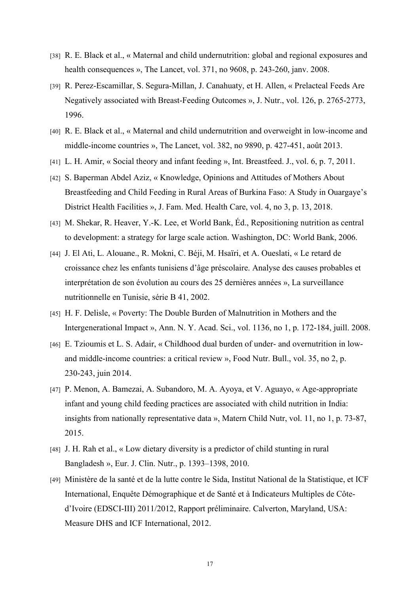- [38] R. E. Black et al., « Maternal and child undernutrition: global and regional exposures and health consequences », The Lancet, vol. 371, no 9608, p. 243-260, janv. 2008.
- [39] R. Perez-Escamillar, S. Segura-Millan, J. Canahuaty, et H. Allen, « Prelacteal Feeds Are Negatively associated with Breast-Feeding Outcomes », J. Nutr., vol. 126, p. 2765‑2773, 1996.
- [40] R. E. Black et al., « Maternal and child undernutrition and overweight in low-income and middle-income countries », The Lancet, vol. 382, no 9890, p. 427‑451, août 2013.
- [41] L. H. Amir, « Social theory and infant feeding », Int. Breastfeed. J., vol. 6, p. 7, 2011.
- [42] S. Baperman Abdel Aziz, « Knowledge, Opinions and Attitudes of Mothers About Breastfeeding and Child Feeding in Rural Areas of Burkina Faso: A Study in Ouargaye's District Health Facilities », J. Fam. Med. Health Care, vol. 4, no 3, p. 13, 2018.
- [43] M. Shekar, R. Heaver, Y.-K. Lee, et World Bank, Éd., Repositioning nutrition as central to development: a strategy for large scale action. Washington, DC: World Bank, 2006.
- [44] J. El Ati, L. Alouane., R. Mokni, C. Béji, M. Hsaïri, et A. Oueslati, « Le retard de croissance chez les enfants tunisiens d'âge préscolaire. Analyse des causes probables et interprétation de son évolution au cours des 25 dernières années », La surveillance nutritionnelle en Tunisie, série B 41, 2002.
- [45] H. F. Delisle, « Poverty: The Double Burden of Malnutrition in Mothers and the Intergenerational Impact », Ann. N. Y. Acad. Sci., vol. 1136, no 1, p. 172-184, juill. 2008.
- [46] E. Tzioumis et L. S. Adair, « Childhood dual burden of under- and overnutrition in low-and middle-income countries: <sup>a</sup> critical review », Food Nutr. Bull., vol. 35, no 2, p. 230‑243, juin 2014.
- [47] P. Menon, A. Bamezai, A. Subandoro, M. A. Ayoya, et V. Aguayo, « Age-appropriate infant and young child feeding practices are associated with child nutrition in India: insights from nationally representative data », Matern Child Nutr, vol. 11, no 1, p. 73-87, 2015.
- [48] J. H. Rah et al., « Low dietary diversity is a predictor of child stunting in rural Bangladesh », Eur. J. Clin. Nutr., p. 1393–1398, 2010.
- [49] Ministère de la santé et de la lutte contre le Sida, Institut National de la Statistique, et ICF International, Enquête Démographique et de Santé et à Indicateurs Multiples de Côte d'Ivoire (EDSCI-III) 2011/2012, Rapport préliminaire. Calverton, Maryland, USA: Measure DHS and ICF International, 2012.